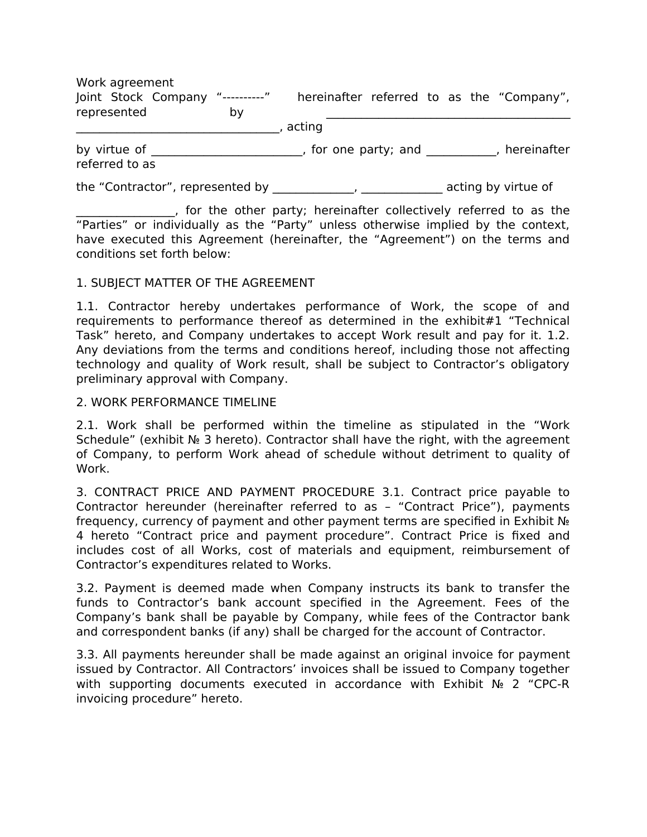Work agreement Joint Stock Company "----------" hereinafter referred to as the "Company", represented by \_\_\_\_\_\_\_\_\_\_\_\_\_\_\_\_\_\_\_\_\_\_\_\_\_\_\_\_\_\_\_\_\_\_\_, acting by virtue of \_\_\_\_\_\_\_\_\_\_\_\_\_\_\_\_\_\_\_\_\_\_\_, for one party; and \_\_\_\_\_\_\_\_\_\_, hereinafter referred to as

the "Contractor", represented by \_\_\_\_\_\_\_\_\_\_\_\_, \_\_\_\_\_\_\_\_\_\_\_\_\_\_ acting by virtue of

\_\_\_\_\_\_\_\_\_\_\_\_\_\_\_\_\_, for the other party; hereinafter collectively referred to as the "Parties" or individually as the "Party" unless otherwise implied by the context, have executed this Agreement (hereinafter, the "Agreement") on the terms and conditions set forth below:

## 1. SUBJECT MATTER OF THE AGREEMENT

1.1. Contractor hereby undertakes performance of Work, the scope of and requirements to performance thereof as determined in the exhibit#1 "Technical Task" hereto, and Company undertakes to accept Work result and pay for it. 1.2. Any deviations from the terms and conditions hereof, including those not affecting technology and quality of Work result, shall be subject to Contractor's obligatory preliminary approval with Company.

## 2. WORK PERFORMANCE TIMELINE

2.1. Work shall be performed within the timeline as stipulated in the "Work Schedule" (exhibit № 3 hereto). Contractor shall have the right, with the agreement of Company, to perform Work ahead of schedule without detriment to quality of Work.

3. CONTRACT PRICE AND PAYMENT PROCEDURE 3.1. Contract price payable to Contractor hereunder (hereinafter referred to as – "Contract Price"), payments frequency, currency of payment and other payment terms are specified in Exhibit № 4 hereto "Contract price and payment procedure". Contract Price is fixed and includes cost of all Works, cost of materials and equipment, reimbursement of Contractor's expenditures related to Works.

3.2. Payment is deemed made when Company instructs its bank to transfer the funds to Contractor's bank account specified in the Agreement. Fees of the Company's bank shall be payable by Company, while fees of the Contractor bank and correspondent banks (if any) shall be charged for the account of Contractor.

3.3. All payments hereunder shall be made against an original invoice for payment issued by Contractor. All Contractors' invoices shall be issued to Company together with supporting documents executed in accordance with Exhibit № 2 "CPC-R invoicing procedure" hereto.